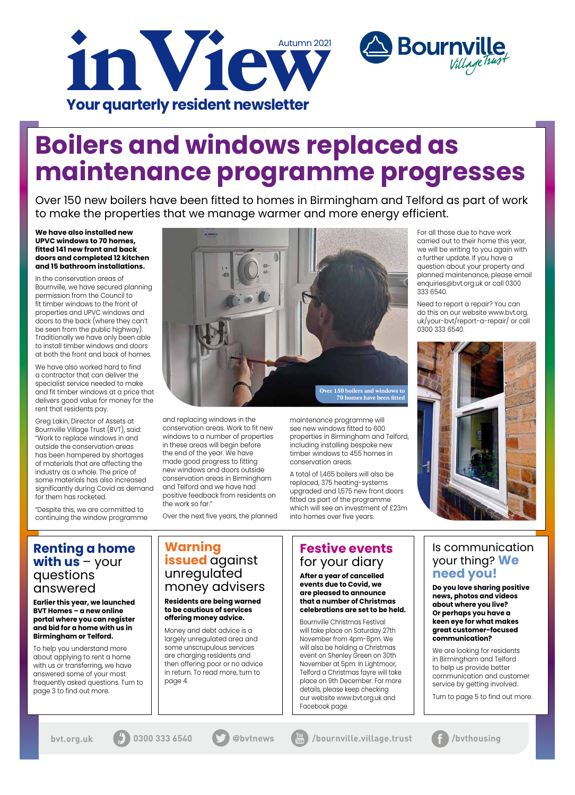**We have also installed new UPVC windows to 70 homes, fitted 141 new front and back doors and completed 12 kitchen and 15 bathroom installations.**

In the conservation areas of Bournville, we have secured planning permission from the Council to fit timber windows to the front of properties and UPVC windows and doors to the back (where they can't be seen from the public highway). Traditionally we have only been able to install timber windows and doors at both the front and back of homes.

We have also worked hard to find a contractor that can deliver the specialist service needed to make and fit timber windows at a price that delivers good value for money for the rent that residents pay.

Greg Lakin, Director of Assets at Bournville Village Trust (BVT), said: "Work to replace windows in and outside the conservation areas has been hampered by shortages of materials that are affecting the industry as a whole. The price of some materials has also increased significantly during Covid as demand for them has rocketed.

"Despite this, we are committed to continuing the window programme

and replacing windows in the conservation areas. Work to fit new windows to a number of properties in these areas will begin before the end of the year. We have made good progress to fitting new windows and doors outside conservation areas in Birmingham and Telford and we have had positive feedback from residents on the work so far."

Over the next five years, the planned

maintenance programme will see new windows fitted to 600 properties in Birmingham and Telford, including installing bespoke new timber windows to 455 homes in conservation areas.



A total of 1,465 boilers will also be replaced, 375 heating-systems upgraded and 1,575 new front doors fitted as part of the programme which will see an investment of £23m into homes over five years.

For all those due to have work carried out to their home this year, we will be writing to you again with a further update. If you have a question about your property and planned maintenance, please email enquiries@bvt.org.uk or call 0300 333 6540.

**Bournville** 

Need to report a repair? You can do this on our website www.bvt.org. uk/your-bvt/report-a-repair/ or call 0300 333 6540.



Over 150 new boilers have been fitted to homes in Birmingham and Telford as part of work to make the properties that we manage warmer and more energy efficient.

## **Boilers and windows replaced as maintenance programme progresses**

### **Renting a home with us** – your questions answered

**Earlier this year, we launched BVT Homes – a new online portal where you can register and bid for a home with us in** 

#### **Birmingham or Telford.**

To help you understand more about applying to rent a home with us or transferring, we have answered some of your most frequently asked questions. Turn to page 3 to find out more.

### **Warning issued** against unregulated money advisers

**Residents are being warned to be cautious of services offering money advice.**

Money and debt advice is a largely unregulated area and some unscrupulous services are charging residents and then offering poor or no advice in return. To read more, turn to page 4.

### Is communication your thing? **We need you!**

**Do you love sharing positive news, photos and videos about where you live? Or perhaps you have a keen eye for what makes great customer-focused** 

#### **communication?**

We are looking for residents in Birmingham and Telford to help us provide better communication and customer service by getting involved.

Turn to page 5 to find out more.



**bvt.org.uk**  $\left(\frac{1}{l}\right)$  0300 333 6540  $\left(\frac{1}{l}\right)$  @bvtnews  $\left(\frac{1}{l}$  /bournville.village.trust  $\left(\frac{1}{l}\right)$  /bvthousing





## **Festive events**  for your diary

**After a year of cancelled events due to Covid, we are pleased to announce that a number of Christmas celebrations are set to be held.**

Bournville Christmas Festival will take place on Saturday 27th November from 4pm-6pm. We will also be holding a Christmas event on Shenley Green on 30th November at 5pm. In Lightmoor, Telford a Christmas fayre will take place on 9th December. For more details, please keep checking our website www.bvt.org.uk and Facebook page.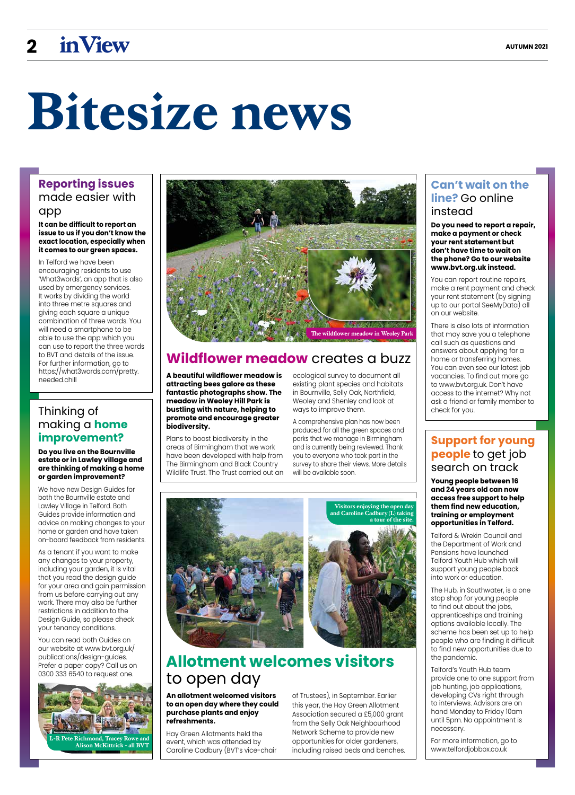## **2 inView AUTUMN 2021**

### **Can't wait on the line?** Go online instead

**Do you need to report a repair, make a payment or check your rent statement but don't have time to wait on the phone? Go to our website www.bvt.org.uk instead.**

You can report routine repairs, make a rent payment and check your rent statement (by signing up to our portal SeeMyData) all on our website.

There is also lots of information that may save you a telephone call such as questions and answers about applying for a home or transferring homes. You can even see our latest job vacancies. To find out more go to www.bvt.org.uk. Don't have access to the internet? Why not ask a friend or family member to check for you.

#### **Support for young people** to get job search on track

**Young people between 16 and 24 years old can now access free support to help them find new education, training or employment opportunities in Telford.**

Telford & Wrekin Council and the Department of Work and Pensions have launched Telford Youth Hub which will support young people back into work or education.

The Hub, in Southwater, is a one stop shop for young people to find out about the jobs, apprenticeships and training options available locally. The

scheme has been set up to help people who are finding it difficult to find new opportunities due to the pandemic.

Telford's Youth Hub team provide one to one support from job hunting, job applications, developing CVs right through to interviews. Advisors are on hand Monday to Friday 10am until 5pm. No appointment is necessary.

For more information, go to www.telfordjobbox.co.uk

## **Bitesize news**

**A beautiful wildflower meadow is attracting bees galore as these fantastic photographs show. The meadow in Weoley Hill Park is bustling with nature, helping to promote and encourage greater biodiversity.** 

Plans to boost biodiversity in the areas of Birmingham that we work have been developed with help from The Birmingham and Black Country Wildlife Trust. The Trust carried out an

ecological survey to document all existing plant species and habitats in Bournville, Selly Oak, Northfield, Weoley and Shenley and look at ways to improve them.

**League Richmond, Tracey Rowe a Alison McKittrick - all BVT**

A comprehensive plan has now been produced for all the green spaces and parks that we manage in Birmingham and is currently being reviewed. Thank you to everyone who took part in the survey to share their views. More details will be available soon.

## **Wildflower meadow** creates a buzz

## **Allotment welcomes visitors** to open day

**An allotment welcomed visitors to an open day where they could purchase plants and enjoy refreshments.**

Hay Green Allotments held the event, which was attended by Caroline Cadbury (BVT's vice-chair of Trustees), in September. Earlier this year, the Hay Green Allotment Association secured a £5,000 grant from the Selly Oak Neighbourhood Network Scheme to provide new opportunities for older gardeners, including raised beds and benches.

### **Reporting issues**  made easier with app

#### **It can be difficult to report an issue to us if you don't know the exact location, especially when it comes to our green spaces.**

In Telford we have been encouraging residents to use 'What3words', an app that is also used by emergency services. It works by dividing the world into three metre squares and giving each square a unique combination of three words. You will need a smartphone to be able to use the app which you can use to report the three words to BVT and details of the issue. For further information, go to https://what3words.com/pretty. needed.chill



#### Thinking of making a **home improvement?**

**Do you live on the Bournville estate or in Lawley village and are thinking of making a home or garden improvement?**

We have new Design Guides for both the Bournville estate and Lawley Village in Telford. Both Guides provide information and advice on making changes to your home or garden and have taken on-board feedback from residents.

As a tenant if you want to make any changes to your property, including your garden, it is vital that you read the design guide for your area and gain permission from us before carrying out any work. There may also be further restrictions in addition to the Design Guide, so please check your tenancy conditions.

You can read both Guides on our website at www.bvt.org.uk/ publications/design-guides. Prefer a paper copy? Call us on 0300 333 6540 to request one.



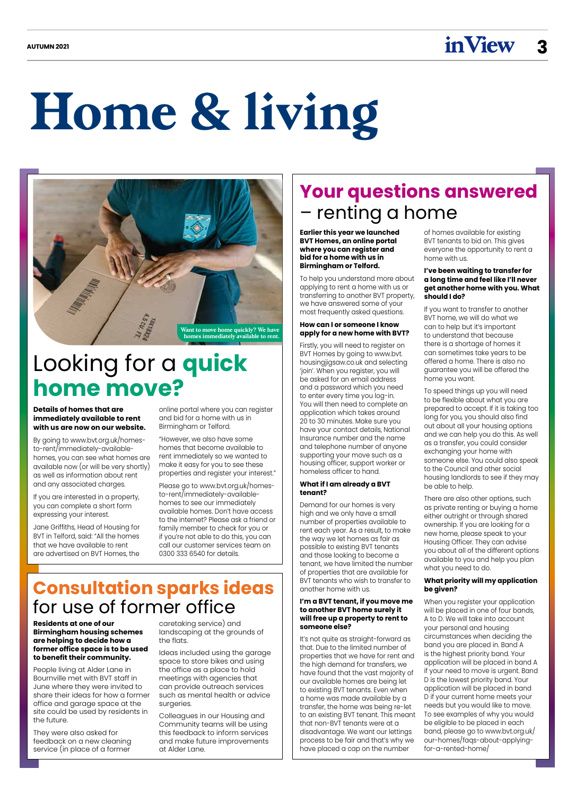#### **Details of homes that are immediately available to rent with us are now on our website.**

By going to www.bvt.org.uk/homesto-rent/immediately-availablehomes, you can see what homes are available now (or will be very shortly) as well as information about rent and any associated charges.

If you are interested in a property, you can complete a short form expressing your interest.

Jane Griffiths, Head of Housing for BVT in Telford, said: "All the homes that we have available to rent are advertised on BVT Homes, the

online portal where you can register and bid for a home with us in Birmingham or Telford.

"However, we also have some homes that become available to rent immediately so we wanted to make it easy for you to see these properties and register your interest."

Please go to www.bvt.org.uk/homesto-rent/immediately-availablehomes to see our immediately available homes. Don't have access to the internet? Please ask a friend or family member to check for you or if you're not able to do this, you can call our customer services team on 0300 333 6540 for details.

**Residents at one of our Birmingham housing schemes are helping to decide how a former office space is to be used to benefit their community.**

People living at Alder Lane in Bournville met with BVT staff in June where they were invited to share their ideas for how a former office and garage space at the site could be used by residents in the future.

They were also asked for feedback on a new cleaning service (in place of a former

caretaking service) and landscaping at the grounds of the flats.

Ideas included using the garage space to store bikes and using the office as a place to hold meetings with agencies that can provide outreach services such as mental health or advice surgeries.

Colleagues in our Housing and Community teams will be using this feedback to inform services and make future improvements at Alder Lane.

## **Your questions answered**  – renting a home

**Home & living**

## **Consultation sparks ideas**  for use of former office

## Looking for a **quick home move?**



**Earlier this year we launched BVT Homes, an online portal where you can register and bid for a home with us in Birmingham or Telford.** 

To help you understand more about applying to rent a home with us or transferring to another BVT property, we have answered some of your most frequently asked questions.

#### **How can I or someone I know apply for a new home with BVT?**

Firstly, you will need to register on BVT Homes by going to www.bvt. housingjigsaw.co.uk and selecting 'join'. When you register, you will be asked for an email address and a password which you need to enter every time you log-in. You will then need to complete an application which takes around 20 to 30 minutes. Make sure you have your contact details, National Insurance number and the name and telephone number of anyone supporting your move such as a housing officer, support worker or homeless officer to hand.

#### **What if I am already a BVT tenant?**

Demand for our homes is very high and we only have a small number of properties available to rent each year. As a result, to make the way we let homes as fair as possible to existing BVT tenants and those looking to become a tenant, we have limited the number of properties that are available for BVT tenants who wish to transfer to another home with us.

**I'm a BVT tenant, if you move me to another BVT home surely it will free up a property to rent to someone else?**

It's not quite as straight-forward as that. Due to the limited number of properties that we have for rent and the high demand for transfers, we have found that the vast majority of our available homes are being let to existing BVT tenants. Even when a home was made available by a transfer, the home was being re-let to an existing BVT tenant. This meant that non-BVT tenants were at a disadvantage. We want our lettings process to be fair and that's why we have placed a cap on the number

of homes available for existing BVT tenants to bid on. This gives everyone the opportunity to rent a home with us.

#### **I've been waiting to transfer for a long time and feel like I'll never get another home with you. What should I do?**

If you want to transfer to another BVT home, we will do what we can to help but it's important to understand that because there is a shortage of homes it can sometimes take years to be offered a home. There is also no guarantee you will be offered the home you want.

To speed things up you will need to be flexible about what you are prepared to accept. If it is taking too long for you, you should also find out about all your housing options and we can help you do this. As well as a transfer, you could consider exchanging your home with someone else. You could also speak to the Council and other social housing landlords to see if they may be able to help.

There are also other options, such as private renting or buying a home either outright or through shared ownership. If you are looking for a new home, please speak to your Housing Officer. They can advise you about all of the different options available to you and help you plan what you need to do.

#### **What priority will my application be given?**

When you register your application will be placed in one of four bands, A to D. We will take into account your personal and housing circumstances when deciding the band you are placed in. Band A is the highest priority band. Your application will be placed in band A if your need to move is urgent. Band D is the lowest priority band. Your application will be placed in band D if your current home meets your needs but you would like to move. To see examples of why you would be eligible to be placed in each band, please go to www.bvt.org.uk/ our-homes/faqs-about-applyingfor-a-rented-home/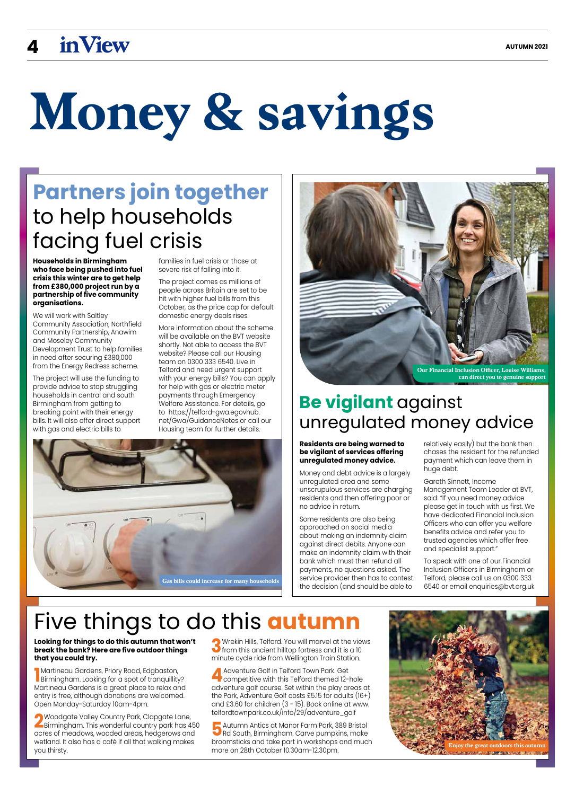## **4 inView AUTUMN 2021**

# **Money & savings**

## **Partners join together**  to help households facing fuel crisis

## Five things to do this **autumn**

## **Be vigilant** against unregulated money advice

#### **Residents are being warned to be vigilant of services offering unregulated money advice.**

Money and debt advice is a largely unregulated area and some unscrupulous services are charging residents and then offering poor or no advice in return.

Some residents are also being approached on social media about making an indemnity claim against direct debits. Anyone can make an indemnity claim with their bank which must then refund all payments, no questions asked. The service provider then has to contest the decision (and should be able to

relatively easily) but the bank then chases the resident for the refunded payment which can leave them in huge debt.

**1** Martineau Gardens, Phory Road, Edgbaston,<br>Birmingham. Looking for a spot of tranquillity?<br>Martineau Gardens is a great place to relax and **Martineau Gardens, Priory Road, Edgbaston,** Martineau Gardens is a great place to relax and entry is free, although donations are welcomed. Open Monday-Saturday 10am-4pm.

#### Gareth Sinnett, Income Management Team Leader at BVT, said: "If you need money advice please get in touch with us first. We have dedicated Financial Inclusion Officers who can offer you welfare benefits advice and refer you to

**2**Woodgate Valley Country Park, Clapgate Lane,<br>Birmingham. This wonderful country park has 450 acres of meadows, wooded areas, hedgerows and wetland. It also has a café if all that walking makes you thirsty.

**3**Wrekin Hills, Telford. You will marvel at the views<br>from this ancient hilltop fortress and it is a 10<br>minute evelo ride from Wellington Train Station minute cycle ride from Wellington Train Station.

trusted agencies which offer free

and specialist support."

To speak with one of our Financial Inclusion Officers in Birmingham or Telford, please call us on 0300 333 6540 or email enquiries@bvt.org.uk

**4**Adventure Golf in Telford Town Park. Get<br>competitive with this Telford themed 12-hole<br>adventure gelf course Set within the play greas adventure golf course. Set within the play areas at the Park, Adventure Golf costs £5.15 for adults (16+) and £3.60 for children (3 - 15). Book online at www. telfordtownpark.co.uk/info/29/adventure\_golf

**5** Autumn Antics at Manor Farm Park, 389 Bristol<br>Rd South, Birmingham. Carve pumpkins, make<br>broomsticks and take part in werkshops and mucl broomsticks and take part in workshops and much more on 28th October 10.30am-12.30pm.







#### **Looking for things to do this autumn that won't break the bank? Here are five outdoor things that you could try.**

**Households in Birmingham who face being pushed into fuel crisis this winter are to get help from £380,000 project run by a partnership of five community organisations.**

We will work with Saltley Community Association, Northfield Community Partnership, Anawim and Moseley Community Development Trust to help families in need after securing £380,000 from the Energy Redress scheme.

The project will use the funding to provide advice to stop struggling households in central and south Birmingham from getting to breaking point with their energy bills. It will also offer direct support with gas and electric bills to

families in fuel crisis or those at severe risk of falling into it.

The project comes as millions of people across Britain are set to be hit with higher fuel bills from this October, as the price cap for default domestic energy deals rises.

More information about the scheme will be available on the BVT website shortly. Not able to access the BVT website? Please call our Housing team on 0300 333 6540. Live in Telford and need urgent support with your energy bills? You can apply for help with gas or electric meter payments through Emergency Welfare Assistance. For details, go to https://telford-gwa.egovhub. net/Gwa/GuidanceNotes or call our Housing team for further details.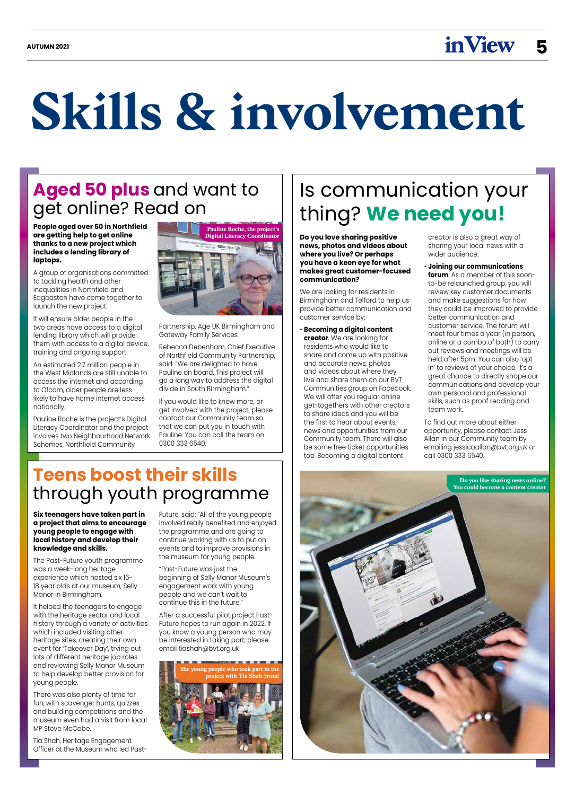$\mathbf{A}$ UTUMN 2021

## **Skills & involvement**

## **Aged 50 plus** and want to get online? Read on

**People aged over 50 in Northfield are getting help to get online thanks to a new project which includes a lending library of laptops.**

A group of organisations committed to tackling health and other inequalities in Northfield and Edgbaston have come together to launch the new project.

It will ensure older people in the two areas have access to a digital lending library which will provide them with access to a digital device, training and ongoing support.

An estimated 2.7 million people in the West Midlands are still unable to access the internet and according to Ofcom, older people are less likely to have home internet access nationally.

Pauline Roche is the project's Digital Literacy Coordinator and the project involves two Neighbourhood Network Schemes, Northfield Community

Partnership, Age UK Birmingham and Gateway Family Services.

Rebecca Debenham, Chief Executive of Northfield Community Partnership, said: "We are delighted to have Pauline on board. This project will go a long way to address the digital divide in South Birmingham."

If you would like to know more, or get involved with the project, please contact our Community team so that we can put you in touch with Pauline. You can call the team on 0300 333 6540.

## Is communication your thing? **We need you!**

**Do you love sharing positive news, photos and videos about where you live? Or perhaps you have a keen eye for what makes great customer-focused communication?**

We are looking for residents in Birmingham and Telford to help us provide better communication and customer service by;

• **Becoming a digital content creator**. We are looking for residents who would like to share and come up with positive and accurate news, photos and videos about where they live and share them on our BVT Communities group on Facebook. We will offer you regular online get-togethers with other creators to share ideas and you will be the first to hear about events, news and opportunities from our Community team. There will also be some free ticket opportunities too. Becoming a digital content

There was also plenty of time for fun, with scavenger hunts, quizzes and building competitions and the museum even had a visit from local MP Steve McCabe.

creator is also a great way of sharing your local news with a wider audience.

• **Joining our communications forum**. As a member of this soonto-be relaunched group, you will review key customer documents and make suggestions for how they could be improved to provide better communication and customer service. The forum will meet four times a year (in person, online or a combo of both) to carry out reviews and meetings will be held after 5pm. You can also 'opt in' to reviews of your choice. It's a great chance to directly shape our communications and develop your own personal and professional skills, such as proof reading and team work.

To find out more about either opportunity, please contact Jess Allan in our Community team by emailing jessicaallan@bvt.org.uk or call 0300 333 6540.

## **Teens boost their skills**  through youth programme



**The young people who took part in the project with Tia Shah (front)**





**Six teenagers have taken part in a project that aims to encourage young people to engage with local history and develop their knowledge and skills.**

The Past-Future youth programme was a week-long heritage experience which hosted six 16- 18 year olds at our museum, Selly Manor in Birmingham.

It helped the teenagers to engage with the heritage sector and local history through a variety of activities which included visiting other heritage sites, creating their own event for 'Takeover Day', trying out lots of different heritage job roles and reviewing Selly Manor Museum to help develop better provision for young people.

Tia Shah, Heritage Engagement Officer at the Museum who led PastFuture, said: "All of the young people involved really benefited and enjoyed the programme and are going to continue working with us to put on events and to improve provisions in the museum for young people.

"Past-Future was just the beginning of Selly Manor Museum's engagement work with young people and we can't wait to continue this in the future."

After a successful pilot project Past-Future hopes to run again in 2022. If you know a young person who may be interested in taking part, please email tiashah@bvt.org.uk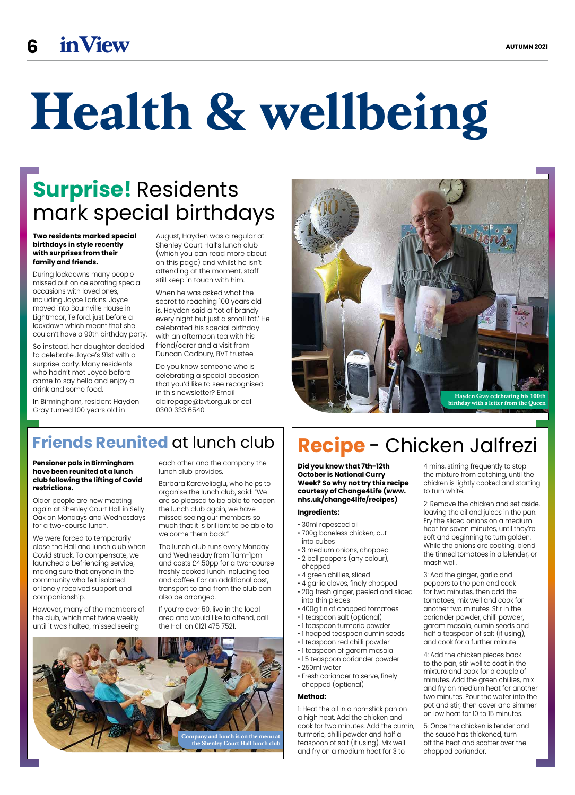# **Health & wellbeing**

## **Surprise!** Residents mark special birthdays

#### **Pensioner pals in Birmingham have been reunited at a lunch club following the lifting of Covid restrictions.**

Older people are now meeting again at Shenley Court Hall in Selly Oak on Mondays and Wednesdays for a two-course lunch.

We were forced to temporarily close the Hall and lunch club when Covid struck. To compensate, we launched a befriending service, making sure that anyone in the community who felt isolated or lonely received support and companionship.

However, many of the members of the club, which met twice weekly until it was halted, missed seeing

each other and the company the lunch club provides.

Barbara Karavelioglu, who helps to organise the lunch club, said: "We are so pleased to be able to reopen the lunch club again, we have missed seeing our members so much that it is brilliant to be able to welcome them back."

The lunch club runs every Monday and Wednesday from 11am-1pm and costs £4.50pp for a two-course freshly cooked lunch including tea and coffee. For an additional cost, transport to and from the club can also be arranged.

If you're over 50, live in the local area and would like to attend, call the Hall on 0121 475 7521.

## **Friends Reunited** at lunch club  $||$  **Recipe** - Chicken Jalfrezi

**Did you know that 7th-12th October is National Curry Week? So why not try this recipe courtesy of Change4Life (www. nhs.uk/change4life/recipes)** 

#### **Ingredients:**

- 30ml rapeseed oil
- 700g boneless chicken, cut into cubes
- 3 medium onions, chopped
- 2 bell peppers (any colour), chopped
- 4 green chillies, sliced
- 4 garlic cloves, finely chopped • 20g fresh ginger, peeled and sliced into thin pieces
- 400g tin of chopped tomatoes
- 1 teaspoon salt (optional)
- 1 teaspoon turmeric powder

- 1 heaped teaspoon cumin seeds
- 1 teaspoon red chilli powder
- 1 teaspoon of garam masala
- 1.5 teaspoon coriander powder
- 250ml water
- Fresh coriander to serve, finely chopped (optional)

#### **Method:**

1: Heat the oil in a non-stick pan on a high heat. Add the chicken and cook for two minutes. Add the cumin, turmeric, chilli powder and half a teaspoon of salt (if using). Mix well and fry on a medium heat for 3 to

4 mins, stirring frequently to stop the mixture from catching, until the chicken is lightly cooked and starting to turn white.

2: Remove the chicken and set aside, leaving the oil and juices in the pan. Fry the sliced onions on a medium heat for seven minutes, until they're soft and beginning to turn golden. While the onions are cooking, blend the tinned tomatoes in a blender, or mash well.

3: Add the ginger, garlic and peppers to the pan and cook for two minutes, then add the tomatoes, mix well and cook for another two minutes. Stir in the coriander powder, chilli powder, garam masala, cumin seeds and

half a teaspoon of salt (if using), and cook for a further minute.

4: Add the chicken pieces back to the pan, stir well to coat in the mixture and cook for a couple of minutes. Add the green chillies, mix and fry on medium heat for another two minutes. Pour the water into the pot and stir, then cover and simmer on low heat for 10 to 15 minutes.

5: Once the chicken is tender and the sauce has thickened, turn off the heat and scatter over the chopped coriander.

**Two residents marked special birthdays in style recently with surprises from their family and friends.** 

During lockdowns many people missed out on celebrating special occasions with loved ones, including Joyce Larkins. Joyce moved into Bournville House in Lightmoor, Telford, just before a lockdown which meant that she couldn't have a 90th birthday party.

So instead, her daughter decided to celebrate Joyce's 91st with a surprise party. Many residents who hadn't met Joyce before came to say hello and enjoy a drink and some food.

In Birmingham, resident Hayden Gray turned 100 years old in

August, Hayden was a regular at Shenley Court Hall's lunch club (which you can read more about on this page) and whilst he isn't attending at the moment, staff still keep in touch with him.

When he was asked what the secret to reaching 100 years old is, Hayden said a 'tot of brandy every night but just a small tot.' He celebrated his special birthday with an afternoon tea with his friend/carer and a visit from Duncan Cadbury, BVT trustee.

Do you know someone who is celebrating a special occasion that you'd like to see recognised in this newsletter? Email clairepage@bvt.org.uk or call 0300 333 6540



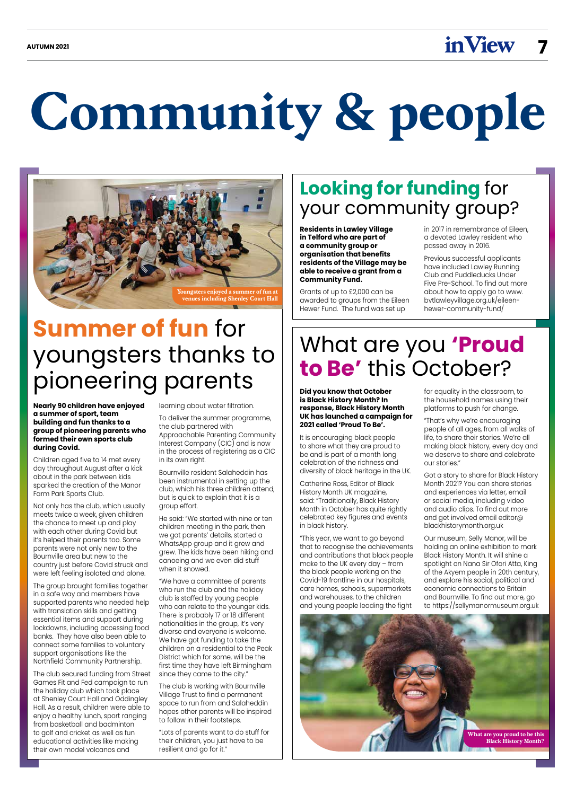**Community & people**

## **Summer of fun** for youngsters thanks to pioneering parents

**Nearly 90 children have enjoyed a summer of sport, team building and fun thanks to a group of pioneering parents who formed their own sports club during Covid.**

Children aged five to 14 met every day throughout August after a kick about in the park between kids sparked the creation of the Manor Farm Park Sports Club.

Not only has the club, which usually meets twice a week, given children the chance to meet up and play with each other during Covid but it's helped their parents too. Some parents were not only new to the Bournville area but new to the country just before Covid struck and were left feeling isolated and alone.

The group brought families together in a safe way and members have supported parents who needed help with translation skills and getting essential items and support during lockdowns, including accessing food banks. They have also been able to connect some families to voluntary support organisations like the Northfield Community Partnership.

The club secured funding from Street Games Fit and Fed campaign to run the holiday club which took place at Shenley Court Hall and Oddingley Hall. As a result, children were able to enjoy a healthy lunch, sport ranging from basketball and badminton to golf and cricket as well as fun educational activities like making their own model volcanos and

learning about water filtration.

To deliver the summer programme, the club partnered with Approachable Parenting Community Interest Company (CIC) and is now

in the process of registering as a CIC in its own right.

Bournville resident Salaheddin has been instrumental in setting up the club, which his three children attend, but is quick to explain that it is a group effort.

He said: "We started with nine or ten children meeting in the park, then we got parents' details, started a WhatsApp group and it grew and grew. The kids have been hiking and canoeing and we even did stuff when it snowed.

"We have a committee of parents who run the club and the holiday club is staffed by young people who can relate to the younger kids. There is probably 17 or 18 different nationalities in the group, it's very diverse and everyone is welcome. We have got funding to take the children on a residential to the Peak District which for some, will be the first time they have left Birmingham since they came to the city."

The club is working with Bournville Village Trust to find a permanent space to run from and Salaheddin hopes other parents will be inspired to follow in their footsteps.

"Lots of parents want to do stuff for their children, you just have to be resilient and go for it."

## **Looking for funding** for your community group?

**Residents in Lawley Village in Telford who are part of a community group or organisation that benefits residents of the Village may be able to receive a grant from a Community Fund.** 

Grants of up to £2,000 can be awarded to groups from the Eileen Hewer Fund. The fund was set up

in 2017 in remembrance of Eileen, a devoted Lawley resident who passed away in 2016.

Previous successful applicants have included Lawley Running Club and Puddleducks Under Five Pre-School. To find out more about how to apply go to www. bvtlawleyvillage.org.uk/eileenhewer-community-fund/

## What are you **'Proud to Be'** this October?



**Did you know that October is Black History Month? In response, Black History Month UK has launched a campaign for 2021 called 'Proud To Be'.**

It is encouraging black people to share what they are proud to be and is part of a month long celebration of the richness and diversity of black heritage in the UK.

Catherine Ross, Editor of Black History Month UK magazine, said: "Traditionally, Black History Month in October has quite rightly celebrated key figures and events in black history.

"This year, we want to go beyond that to recognise the achievements and contributions that black people make to the UK every day – from the black people working on the Covid-19 frontline in our hospitals, care homes, schools, supermarkets and warehouses, to the children and young people leading the fight

for equality in the classroom, to the household names using their platforms to push for change.

"That's why we're encouraging people of all ages, from all walks of life, to share their stories. We're all making black history, every day and we deserve to share and celebrate our stories."

Got a story to share for Black History Month 2021? You can share stories and experiences via letter, email or social media, including video and audio clips. To find out more and get involved email editor@ blackhistorymonth.org.uk

Our museum, Selly Manor, will be holding an online exhibition to mark Black History Month. It will shine a spotlight on Nana Sir Ofori Atta, King of the Akyem people in 20th century, and explore his social, political and economic connections to Britain and Bournville. To find out more, go to https://sellymanormuseum.org.uk